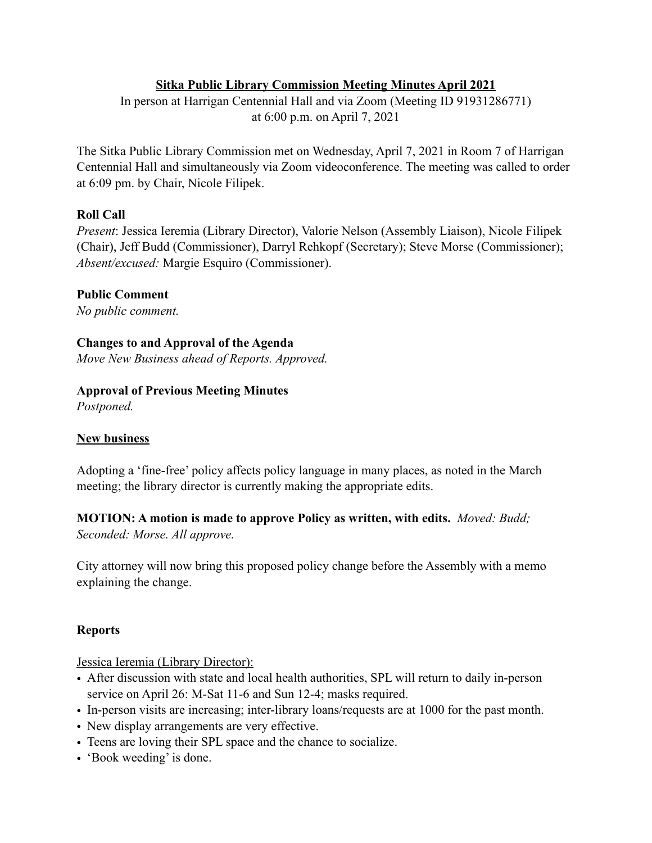## **Sitka Public Library Commission Meeting Minutes April 2021**

In person at Harrigan Centennial Hall and via Zoom (Meeting ID 91931286771) at 6:00 p.m. on April 7, 2021

The Sitka Public Library Commission met on Wednesday, April 7, 2021 in Room 7 of Harrigan Centennial Hall and simultaneously via Zoom videoconference. The meeting was called to order at 6:09 pm. by Chair, Nicole Filipek.

### **Roll Call**

*Present*: Jessica Ieremia (Library Director), Valorie Nelson (Assembly Liaison), Nicole Filipek (Chair), Jeff Budd (Commissioner), Darryl Rehkopf (Secretary); Steve Morse (Commissioner); *Absent/excused:* Margie Esquiro (Commissioner).

### **Public Comment**

*No public comment.* 

**Changes to and Approval of the Agenda** 

*Move New Business ahead of Reports. Approved.* 

### **Approval of Previous Meeting Minutes**

*Postponed.* 

### **New business**

Adopting a 'fine-free' policy affects policy language in many places, as noted in the March meeting; the library director is currently making the appropriate edits.

**MOTION: A motion is made to approve Policy as written, with edits.** *Moved: Budd;* 

*Seconded: Morse. All approve.*

City attorney will now bring this proposed policy change before the Assembly with a memo explaining the change.

# **Reports**

Jessica Ieremia (Library Director):

- After discussion with state and local health authorities, SPL will return to daily in-person service on April 26: M-Sat 11-6 and Sun 12-4; masks required.
- In-person visits are increasing; inter-library loans/requests are at 1000 for the past month.
- New display arrangements are very effective.
- Teens are loving their SPL space and the chance to socialize.
- 'Book weeding' is done.